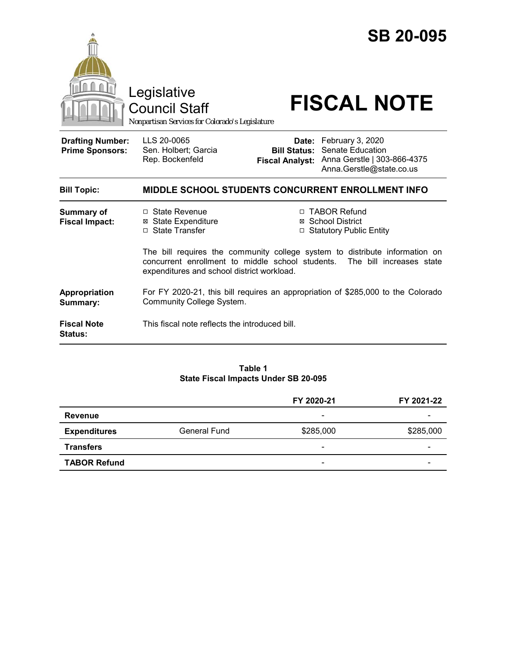

Council Staff

# Legislative<br>Council Staff **FISCAL NOTE**

*Nonpartisan Services for Colorado's Legislature*

**Drafting Number: Prime Sponsors:**

LLS 20-0065 Sen. Holbert; Garcia Rep. Bockenfeld

**Date:** February 3, 2020 **Bill Status:** Senate Education **Fiscal Analyst:** Anna Gerstle | 303-866-4375 Anna.Gerstle@state.co.us

| <b>Bill Topic:</b>                         |                                                                                                                                                                                                        | MIDDLE SCHOOL STUDENTS CONCURRENT ENROLLMENT INFO                     |  |
|--------------------------------------------|--------------------------------------------------------------------------------------------------------------------------------------------------------------------------------------------------------|-----------------------------------------------------------------------|--|
| <b>Summary of</b><br><b>Fiscal Impact:</b> | $\Box$ State Revenue<br>⊠ State Expenditure<br>□ State Transfer                                                                                                                                        | □ TABOR Refund<br>⊠ School District<br>$\Box$ Statutory Public Entity |  |
|                                            | The bill requires the community college system to distribute information on<br>concurrent enrollment to middle school students. The bill increases state<br>expenditures and school district workload. |                                                                       |  |
| Appropriation<br>Summary:                  | For FY 2020-21, this bill requires an appropriation of \$285,000 to the Colorado<br>Community College System.                                                                                          |                                                                       |  |
| <b>Fiscal Note</b><br><b>Status:</b>       | This fiscal note reflects the introduced bill.                                                                                                                                                         |                                                                       |  |

#### **Table 1 State Fiscal Impacts Under SB 20-095**

|                     |              | FY 2020-21               | FY 2021-22 |
|---------------------|--------------|--------------------------|------------|
| <b>Revenue</b>      |              | $\overline{\phantom{0}}$ |            |
| <b>Expenditures</b> | General Fund | \$285,000                | \$285,000  |
| <b>Transfers</b>    |              | $\overline{\phantom{a}}$ | -          |
| <b>TABOR Refund</b> |              | $\overline{\phantom{0}}$ | -          |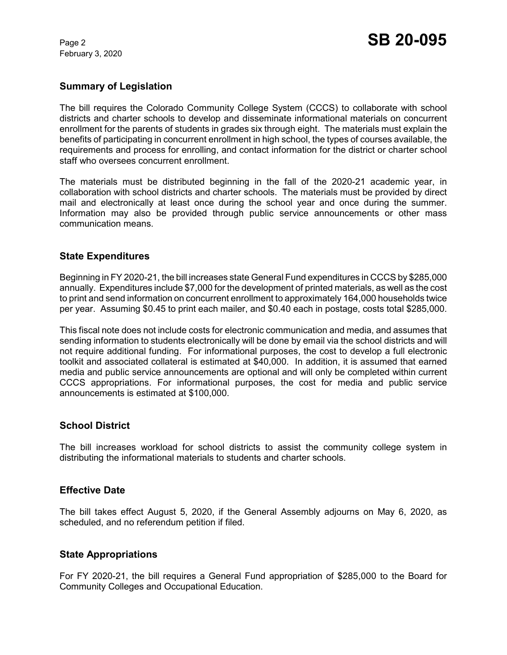February 3, 2020

# **Summary of Legislation**

The bill requires the Colorado Community College System (CCCS) to collaborate with school districts and charter schools to develop and disseminate informational materials on concurrent enrollment for the parents of students in grades six through eight. The materials must explain the benefits of participating in concurrent enrollment in high school, the types of courses available, the requirements and process for enrolling, and contact information for the district or charter school staff who oversees concurrent enrollment.

The materials must be distributed beginning in the fall of the 2020-21 academic year, in collaboration with school districts and charter schools. The materials must be provided by direct mail and electronically at least once during the school year and once during the summer. Information may also be provided through public service announcements or other mass communication means.

### **State Expenditures**

Beginning in FY 2020-21, the bill increases state General Fund expenditures in CCCS by \$285,000 annually. Expenditures include \$7,000 for the development of printed materials, as well as the cost to print and send information on concurrent enrollment to approximately 164,000 households twice per year. Assuming \$0.45 to print each mailer, and \$0.40 each in postage, costs total \$285,000.

This fiscal note does not include costs for electronic communication and media, and assumes that sending information to students electronically will be done by email via the school districts and will not require additional funding. For informational purposes, the cost to develop a full electronic toolkit and associated collateral is estimated at \$40,000. In addition, it is assumed that earned media and public service announcements are optional and will only be completed within current CCCS appropriations. For informational purposes, the cost for media and public service announcements is estimated at \$100,000.

### **School District**

The bill increases workload for school districts to assist the community college system in distributing the informational materials to students and charter schools.

### **Effective Date**

The bill takes effect August 5, 2020, if the General Assembly adjourns on May 6, 2020, as scheduled, and no referendum petition if filed.

### **State Appropriations**

For FY 2020-21, the bill requires a General Fund appropriation of \$285,000 to the Board for Community Colleges and Occupational Education.